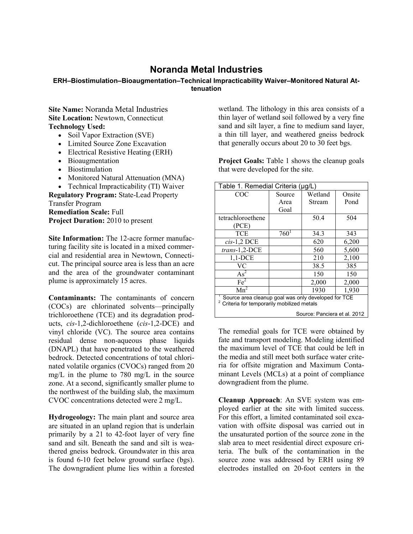## **Noranda Metal Industries**

## **ERH–Biostimulation–Bioaugmentation–Technical Impracticability Waiver–Monitored Natural Attenuation**

**Site Name:** Noranda Metal Industries **Site Location:** Newtown, Connecticut **Technology Used:**

- Soil Vapor Extraction (SVE)
- Limited Source Zone Excavation
- Electrical Resistive Heating (ERH)
- Bioaugmentation
- Biostimulation
- Monitored Natural Attenuation (MNA)

• Technical Impracticability (TI) Waiver **Regulatory Program:** State-Lead Property Transfer Program **Remediation Scale:** Full **Project Duration:** 2010 to present

**Site Information:** The 12-acre former manufacturing facility site is located in a mixed commercial and residential area in Newtown, Connecticut. The principal source area is less than an acre and the area of the groundwater contaminant plume is approximately 15 acres.

**Contaminants:** The contaminants of concern (COCs) are chlorinated solvents—principally trichloroethene (TCE) and its degradation products, *cis*-1,2-dichloroethene (*cis*-1,2-DCE) and vinyl chloride (VC). The source area contains residual dense non-aqueous phase liquids (DNAPL) that have penetrated to the weathered bedrock. Detected concentrations of total chlorinated volatile organics (CVOCs) ranged from 20 mg/L in the plume to 780 mg/L in the source zone. At a second, significantly smaller plume to the northwest of the building slab, the maximum CVOC concentrations detected were 2 mg/L.

**Hydrogeology:** The main plant and source area are situated in an upland region that is underlain primarily by a 21 to 42-foot layer of very fine sand and silt. Beneath the sand and silt is weathered gneiss bedrock. Groundwater in this area is found 6-10 feet below ground surface (bgs). The downgradient plume lies within a forested

wetland. The lithology in this area consists of a thin layer of wetland soil followed by a very fine sand and silt layer, a fine to medium sand layer, a thin till layer, and weathered gneiss bedrock that generally occurs about 20 to 30 feet bgs.

**Project Goals:** Table 1 shows the cleanup goals that were developed for the site.

| Table 1. Remedial Criteria (µg/L)                                                                |         |         |        |
|--------------------------------------------------------------------------------------------------|---------|---------|--------|
| COC                                                                                              | Source  | Wetland | Onsite |
|                                                                                                  | Area    | Stream  | Pond   |
|                                                                                                  | Goal    |         |        |
| tetrachloroethene                                                                                |         | 50.4    | 504    |
| (PCE)                                                                                            |         |         |        |
| <b>TCE</b>                                                                                       | $760^1$ | 34.3    | 343    |
| $cis-1,2$ DCE                                                                                    |         | 620     | 6,200  |
| trans-1,2-DCE                                                                                    |         | 560     | 5,600  |
| $1,1$ -DCE                                                                                       |         | 210     | 2,100  |
| <b>VC</b>                                                                                        |         | 38.5    | 385    |
| $As^2$                                                                                           |         | 150     | 150    |
| Fe <sup>2</sup>                                                                                  |         | 2,000   | 2,000  |
| $Mn^2$                                                                                           |         | 1930    | 1,930  |
| Source area cleanup goal was only developed for TCE<br>Criteria for temporarily mobilized metals |         |         |        |

Source: Panciera et al. 2012

The remedial goals for TCE were obtained by fate and transport modeling. Modeling identified the maximum level of TCE that could be left in the media and still meet both surface water criteria for offsite migration and Maximum Contaminant Levels (MCLs) at a point of compliance downgradient from the plume.

**Cleanup Approach**: An SVE system was employed earlier at the site with limited success. For this effort, a limited contaminated soil excavation with offsite disposal was carried out in the unsaturated portion of the source zone in the slab area to meet residential direct exposure criteria. The bulk of the contamination in the source zone was addressed by ERH using 89 electrodes installed on 20-foot centers in the